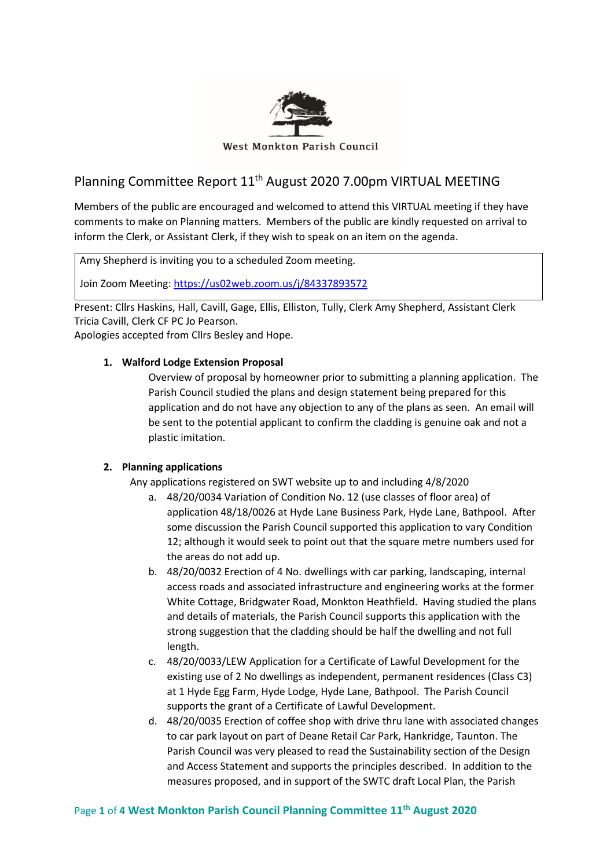

West Monkton Parish Council

# Planning Committee Report 11th August 2020 7.00pm VIRTUAL MEETING

Members of the public are encouraged and welcomed to attend this VIRTUAL meeting if they have comments to make on Planning matters. Members of the public are kindly requested on arrival to inform the Clerk, or Assistant Clerk, if they wish to speak on an item on the agenda.

Amy Shepherd is inviting you to a scheduled Zoom meeting.

Join Zoom Meeting[: https://us02web.zoom.us/j/84337893572](https://us02web.zoom.us/j/84337893572)

Present: Cllrs Haskins, Hall, Cavill, Gage, Ellis, Elliston, Tully, Clerk Amy Shepherd, Assistant Clerk Tricia Cavill, Clerk CF PC Jo Pearson.

Apologies accepted from Cllrs Besley and Hope.

## **1. Walford Lodge Extension Proposal**

Overview of proposal by homeowner prior to submitting a planning application. The Parish Council studied the plans and design statement being prepared for this application and do not have any objection to any of the plans as seen. An email will be sent to the potential applicant to confirm the cladding is genuine oak and not a plastic imitation.

## **2. Planning applications**

Any applications registered on SWT website up to and including 4/8/2020

- a. 48/20/0034 Variation of Condition No. 12 (use classes of floor area) of application 48/18/0026 at Hyde Lane Business Park, Hyde Lane, Bathpool. After some discussion the Parish Council supported this application to vary Condition 12; although it would seek to point out that the square metre numbers used for the areas do not add up.
- b. 48/20/0032 Erection of 4 No. dwellings with car parking, landscaping, internal access roads and associated infrastructure and engineering works at the former White Cottage, Bridgwater Road, Monkton Heathfield. Having studied the plans and details of materials, the Parish Council supports this application with the strong suggestion that the cladding should be half the dwelling and not full length.
- c. 48/20/0033/LEW Application for a Certificate of Lawful Development for the existing use of 2 No dwellings as independent, permanent residences (Class C3) at 1 Hyde Egg Farm, Hyde Lodge, Hyde Lane, Bathpool. The Parish Council supports the grant of a Certificate of Lawful Development.
- d. 48/20/0035 Erection of coffee shop with drive thru lane with associated changes to car park layout on part of Deane Retail Car Park, Hankridge, Taunton. The Parish Council was very pleased to read the Sustainability section of the Design and Access Statement and supports the principles described. In addition to the measures proposed, and in support of the SWTC draft Local Plan, the Parish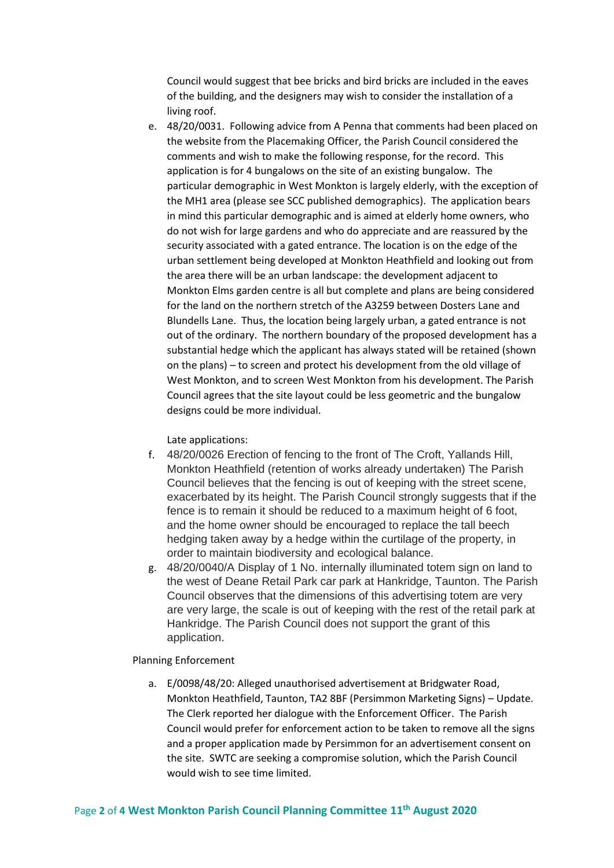Council would suggest that bee bricks and bird bricks are included in the eaves of the building, and the designers may wish to consider the installation of a living roof.

e. 48/20/0031. Following advice from A Penna that comments had been placed on the website from the Placemaking Officer, the Parish Council considered the comments and wish to make the following response, for the record. This application is for 4 bungalows on the site of an existing bungalow. The particular demographic in West Monkton is largely elderly, with the exception of the MH1 area (please see SCC published demographics). The application bears in mind this particular demographic and is aimed at elderly home owners, who do not wish for large gardens and who do appreciate and are reassured by the security associated with a gated entrance. The location is on the edge of the urban settlement being developed at Monkton Heathfield and looking out from the area there will be an urban landscape: the development adjacent to Monkton Elms garden centre is all but complete and plans are being considered for the land on the northern stretch of the A3259 between Dosters Lane and Blundells Lane. Thus, the location being largely urban, a gated entrance is not out of the ordinary. The northern boundary of the proposed development has a substantial hedge which the applicant has always stated will be retained (shown on the plans) – to screen and protect his development from the old village of West Monkton, and to screen West Monkton from his development. The Parish Council agrees that the site layout could be less geometric and the bungalow designs could be more individual.

Late applications:

- f. 48/20/0026 Erection of fencing to the front of The Croft, Yallands Hill, Monkton Heathfield (retention of works already undertaken) The Parish Council believes that the fencing is out of keeping with the street scene, exacerbated by its height. The Parish Council strongly suggests that if the fence is to remain it should be reduced to a maximum height of 6 foot, and the home owner should be encouraged to replace the tall beech hedging taken away by a hedge within the curtilage of the property, in order to maintain biodiversity and ecological balance.
- g. 48/20/0040/A Display of 1 No. internally illuminated totem sign on land to the west of Deane Retail Park car park at Hankridge, Taunton. The Parish Council observes that the dimensions of this advertising totem are very are very large, the scale is out of keeping with the rest of the retail park at Hankridge. The Parish Council does not support the grant of this application.

Planning Enforcement

a. E/0098/48/20: Alleged unauthorised advertisement at Bridgwater Road, Monkton Heathfield, Taunton, TA2 8BF (Persimmon Marketing Signs) – Update. The Clerk reported her dialogue with the Enforcement Officer. The Parish Council would prefer for enforcement action to be taken to remove all the signs and a proper application made by Persimmon for an advertisement consent on the site. SWTC are seeking a compromise solution, which the Parish Council would wish to see time limited.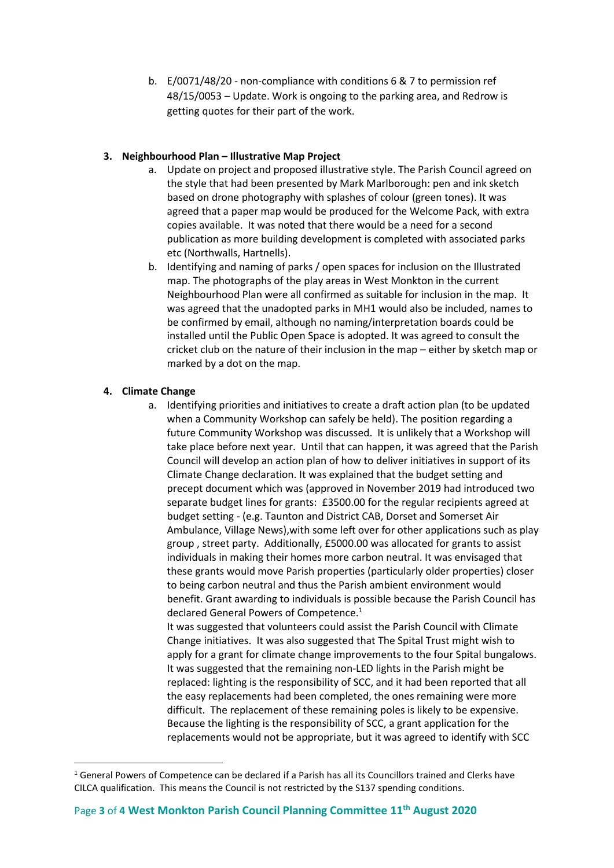b. E/0071/48/20 - non-compliance with conditions 6 & 7 to permission ref 48/15/0053 – Update. Work is ongoing to the parking area, and Redrow is getting quotes for their part of the work.

## **3. Neighbourhood Plan – Illustrative Map Project**

- a. Update on project and proposed illustrative style. The Parish Council agreed on the style that had been presented by Mark Marlborough: pen and ink sketch based on drone photography with splashes of colour (green tones). It was agreed that a paper map would be produced for the Welcome Pack, with extra copies available. It was noted that there would be a need for a second publication as more building development is completed with associated parks etc (Northwalls, Hartnells).
- b. Identifying and naming of parks / open spaces for inclusion on the Illustrated map. The photographs of the play areas in West Monkton in the current Neighbourhood Plan were all confirmed as suitable for inclusion in the map. It was agreed that the unadopted parks in MH1 would also be included, names to be confirmed by email, although no naming/interpretation boards could be installed until the Public Open Space is adopted. It was agreed to consult the cricket club on the nature of their inclusion in the map – either by sketch map or marked by a dot on the map.

## **4. Climate Change**

a. Identifying priorities and initiatives to create a draft action plan (to be updated when a Community Workshop can safely be held). The position regarding a future Community Workshop was discussed. It is unlikely that a Workshop will take place before next year. Until that can happen, it was agreed that the Parish Council will develop an action plan of how to deliver initiatives in support of its Climate Change declaration. It was explained that the budget setting and precept document which was (approved in November 2019 had introduced two separate budget lines for grants: £3500.00 for the regular recipients agreed at budget setting - (e.g. Taunton and District CAB, Dorset and Somerset Air Ambulance, Village News),with some left over for other applications such as play group , street party. Additionally, £5000.00 was allocated for grants to assist individuals in making their homes more carbon neutral. It was envisaged that these grants would move Parish properties (particularly older properties) closer to being carbon neutral and thus the Parish ambient environment would benefit. Grant awarding to individuals is possible because the Parish Council has declared General Powers of Competence.<sup>1</sup> It was suggested that volunteers could assist the Parish Council with Climate

Change initiatives. It was also suggested that The Spital Trust might wish to apply for a grant for climate change improvements to the four Spital bungalows. It was suggested that the remaining non-LED lights in the Parish might be replaced: lighting is the responsibility of SCC, and it had been reported that all the easy replacements had been completed, the ones remaining were more difficult. The replacement of these remaining poles is likely to be expensive. Because the lighting is the responsibility of SCC, a grant application for the replacements would not be appropriate, but it was agreed to identify with SCC

 $1$  General Powers of Competence can be declared if a Parish has all its Councillors trained and Clerks have CILCA qualification. This means the Council is not restricted by the S137 spending conditions.